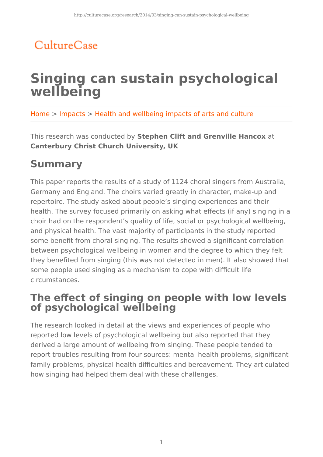## CultureCase

# **Singing can sustain psychological wellbeing**

Home > Impacts > Health and wellbeing impacts of arts and culture

This research was conducted by **Stephen Clift and Grenville Hancox** at **Canterbury Christ Church University, UK**

## **Summary**

This paper reports the results of a study of 1124 choral singers from Australia, Germany and England. The choirs varied greatly in character, make-up and repertoire. The study asked about people's singing experiences and their health. The survey focused primarily on asking what effects (if any) singing in a choir had on the respondent's quality of life, social or psychological wellbeing, and physical health. The vast majority of participants in the study reported some benefit from choral singing. The results showed a significant correlation between psychological wellbeing in women and the degree to which they felt they benefited from singing (this was not detected in men). It also showed that some people used singing as a mechanism to cope with difficult life circumstances.

#### **The effect of singing on people with low levels of psychological wellbeing**

The research looked in detail at the views and experiences of people who reported low levels of psychological wellbeing but also reported that they derived a large amount of wellbeing from singing. These people tended to report troubles resulting from four sources: mental health problems, significant family problems, physical health difficulties and bereavement. They articulated how singing had helped them deal with these challenges.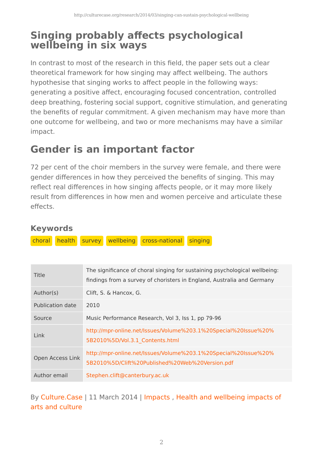### **Singing probably affects psychological wellbeing in six ways**

In contrast to most of the research in this field, the paper sets out a clear theoretical framework for how singing may affect wellbeing. The authors hypothesise that singing works to affect people in the following ways: generating a positive affect, encouraging focused concentration, controlled deep breathing, fostering social support, cognitive stimulation, and generating the benefits of regular commitment. A given mechanism may have more than one outcome for wellbeing, and two or more mechanisms may have a similar impact.

## **Gender is an important factor**

72 per cent of the choir members in the survey were female, and there were gender differences in how they perceived the benefits of singing. This may reflect real differences in how singing affects people, or it may more likely result from differences in how men and women perceive and articulate these effects.

#### **Keywords**

choral health survey wellbeing cross-national singing

| Title            | The significance of choral singing for sustaining psychological wellbeing:<br>findings from a survey of choristers in England, Australia and Germany |
|------------------|------------------------------------------------------------------------------------------------------------------------------------------------------|
| Author(s)        | Clift, S. & Hancox, G.                                                                                                                               |
| Publication date | 2010                                                                                                                                                 |
| Source           | Music Performance Research, Vol 3, Iss 1, pp 79-96                                                                                                   |
| Link             | http://mpr-online.net/Issues/Volume%203.1%20Special%20Issue%20%<br>5B2010%5D/Vol.3.1 Contents.html                                                   |
| Open Access Link | http://mpr-online.net/Issues/Volume%203.1%20Special%20Issue%20%<br>5B2010%5D/Clift%20Published%20Web%20Version.pdf                                   |
| Author email     | Stephen.clift@canterbury.ac.uk                                                                                                                       |

By Culture.Case | 11 March 2014 | Impacts, Health and wellbeing impacts of arts and culture